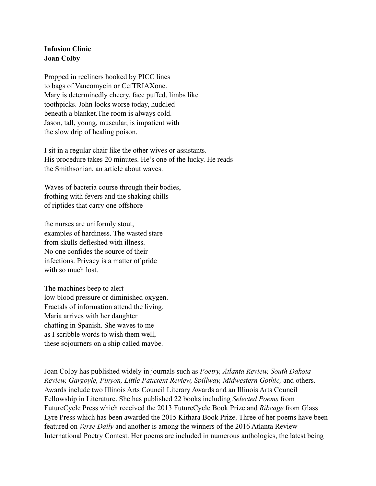## **Infusion Clinic Joan Colby**

Propped in recliners hooked by PICC lines to bags of Vancomycin or CefTRIAXone. Mary is determinedly cheery, face puffed, limbs like toothpicks. John looks worse today, huddled beneath a blanket.The room is always cold. Jason, tall, young, muscular, is impatient with the slow drip of healing poison.

I sit in a regular chair like the other wives or assistants. His procedure takes 20 minutes. He's one of the lucky. He reads the Smithsonian, an article about waves.

Waves of bacteria course through their bodies, frothing with fevers and the shaking chills of riptides that carry one offshore

the nurses are uniformly stout, examples of hardiness. The wasted stare from skulls defleshed with illness. No one confides the source of their infections. Privacy is a matter of pride with so much lost.

The machines beep to alert low blood pressure or diminished oxygen. Fractals of information attend the living. Maria arrives with her daughter chatting in Spanish. She waves to me as I scribble words to wish them well, these sojourners on a ship called maybe.

Joan Colby has published widely in journals such as *Poetry, Atlanta Review, South Dakota Review, Gargoyle, Pinyon, Little Patuxent Review, Spillway, Midwestern Gothic,* and others. Awards include two Illinois Arts Council Literary Awards and an Illinois Arts Council Fellowship in Literature. She has published 22 books including *Selected Poems* from FutureCycle Press which received the 2013 FutureCycle Book Prize and *Ribcage* from Glass Lyre Press which has been awarded the 2015 Kithara Book Prize. Three of her poems have been featured on *Verse Daily* and another is among the winners of the 2016 Atlanta Review International Poetry Contest. Her poems are included in numerous anthologies, the latest being